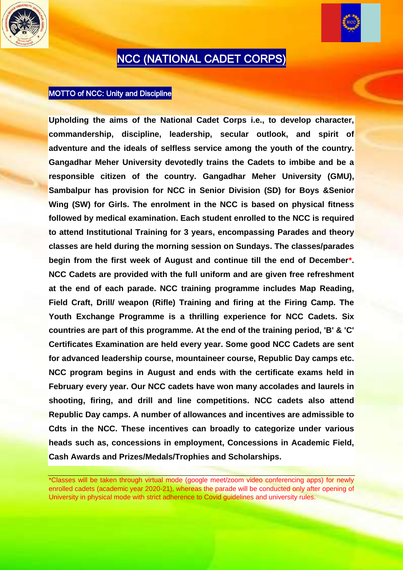



## **NCC (NATIONAL CADET CORPS**

#### MOTTO of NCC: Unity and Discipline

**Upholding the aims of the National Cadet Corps i.e., to develop character, commandership, discipline, leadership, secular outlook, and spirit of adventure and the ideals of selfless service among the youth of the country. Gangadhar Meher University devotedly trains the Cadets to imbibe and be a responsible citizen of the country. Gangadhar Meher University (GMU), Sambalpur has provision for NCC in Senior Division (SD) for Boys &Senior Wing (SW) for Girls. The enrolment in the NCC is based on physical fitness followed by medical examination. Each student enrolled to the NCC is required to attend Institutional Training for 3 years, encompassing Parades and theory classes are held during the morning session on Sundays. The classes/parades begin from the first week of August and continue till the end of December\*. NCC Cadets are provided with the full uniform and are given free refreshment at the end of each parade. NCC training programme includes Map Reading, Field Craft, Drill/ weapon (Rifle) Training and firing at the Firing Camp. The Youth Exchange Programme is a thrilling experience for NCC Cadets. Six countries are part of this programme. At the end of the training period, 'B' & 'C' Certificates Examination are held every year. Some good NCC Cadets are sent for advanced leadership course, mountaineer course, Republic Day camps etc. NCC program begins in August and ends with the certificate exams held in February every year. Our NCC cadets have won many accolades and laurels in shooting, firing, and drill and line competitions. NCC cadets also attend Republic Day camps. A number of allowances and incentives are admissible to Cdts in the NCC. These incentives can broadly to categorize under various heads such as, concessions in employment, Concessions in Academic Field, Cash Awards and Prizes/Medals/Trophies and Scholarships.** 

\*Classes will be taken through virtual mode (google meet/zoom video conferencing apps) for newly enrolled cadets (academic year 2020-21), whereas the parade will be conducted only after opening of University in physical mode with strict adherence to Covid guidelines and university rules.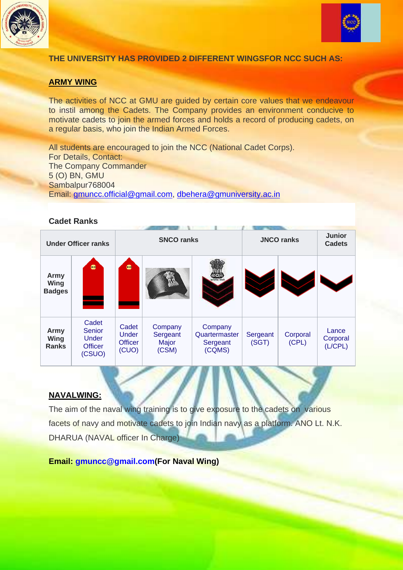



#### **THE UNIVERSITY HAS PROVIDED 2 DIFFERENT WINGSFOR NCC SUCH AS:**

#### **ARMY WING**

The activities of NCC at GMU are guided by certain core values that we endeavour to instil among the Cadets. The Company provides an environment conducive to motivate cadets to join the armed forces and holds a record of producing cadets, on a regular basis, who join the Indian Armed Forces.

All students are encouraged to join the NCC (National Cadet Corps). For Details, Contact: The Company Commander 5 (O) BN, GMU Sambalpur768004 Email: [gmuncc.official@gmail.com,](mailto:gmuncc.official@gmail.com) [dbehera@gmuniversity.ac.in](mailto:dbehera@gmuniversity.ac.in)

| <b>Under Officer ranks</b>          |                                                                    | <b>SNCO ranks</b>                                |                                       |                                                | <b>JNCO ranks</b> |                   | <b>Junior</b><br><b>Cadets</b> |  |  |
|-------------------------------------|--------------------------------------------------------------------|--------------------------------------------------|---------------------------------------|------------------------------------------------|-------------------|-------------------|--------------------------------|--|--|
| Army<br>Wing<br><b>Badges</b>       | $\bullet$                                                          | ҩ                                                |                                       |                                                |                   |                   |                                |  |  |
| <b>Army</b><br>Wing<br><b>Ranks</b> | Cadet<br><b>Senior</b><br><b>Under</b><br><b>Officer</b><br>(CSUO) | Cadet<br><b>Under</b><br><b>Officer</b><br>(CUO) | Company<br>Sergeant<br>Major<br>(CSM) | Company<br>Quartermaster<br>Sergeant<br>(CQMS) | Sergeant<br>(SGT) | Corporal<br>(CPL) | Lance<br>Corporal<br>(L/ CPL)  |  |  |

#### **Cadet Ranks**

#### **NAVALWING:**

The aim of the naval wing training is to give exposure to the cadets on various facets of navy and motivate cadets to join Indian navy as a platform. ANO Lt. N.K. DHARUA (NAVAL officer In Charge)

**Email: [gmuncc@gmail.com\(](mailto:gmuncc@gmail.com)For Naval Wing)**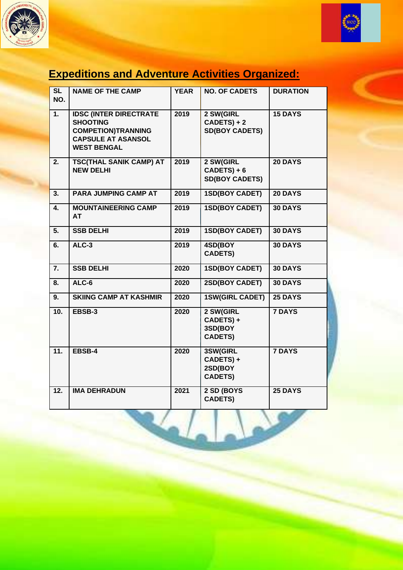



## **Expeditions and Adventure Activities Organized:**

| <b>SL</b><br>NO. | <b>NAME OF THE CAMP</b>                                                                                                           | <b>YEAR</b> | <b>NO. OF CADETS</b>                                 | <b>DURATION</b> |  |  |  |  |
|------------------|-----------------------------------------------------------------------------------------------------------------------------------|-------------|------------------------------------------------------|-----------------|--|--|--|--|
| 1.               | <b>IDSC (INTER DIRECTRATE)</b><br><b>SHOOTING</b><br><b>COMPETION)TRANNING</b><br><b>CAPSULE AT ASANSOL</b><br><b>WEST BENGAL</b> | 2019        | 2 SW(GIRL<br>CADETS) + 2<br><b>SD(BOY CADETS)</b>    | <b>15 DAYS</b>  |  |  |  |  |
| 2.               | <b>TSC(THAL SANIK CAMP) AT</b><br><b>NEW DELHI</b>                                                                                | 2019        | 2 SW(GIRL<br>$CADETS$ ) + 6<br><b>SD(BOY CADETS)</b> | 20 DAYS         |  |  |  |  |
| 3.               | <b>PARA JUMPING CAMP AT</b>                                                                                                       | 2019        | <b>1SD(BOY CADET)</b>                                | 20 DAYS         |  |  |  |  |
| 4.               | <b>MOUNTAINEERING CAMP</b><br><b>AT</b>                                                                                           | 2019        | <b>1SD(BOY CADET)</b>                                | <b>30 DAYS</b>  |  |  |  |  |
| 5.               | <b>SSB DELHI</b>                                                                                                                  | 2019        | <b>1SD(BOY CADET)</b>                                | <b>30 DAYS</b>  |  |  |  |  |
| 6.               | ALC-3                                                                                                                             | 2019        | 4SD(BOY<br><b>CADETS)</b>                            | <b>30 DAYS</b>  |  |  |  |  |
| 7.               | <b>SSB DELHI</b>                                                                                                                  | 2020        | <b>1SD(BOY CADET)</b>                                | <b>30 DAYS</b>  |  |  |  |  |
| 8.               | ALC-6                                                                                                                             | 2020        | 2SD(BOY CADET)                                       | <b>30 DAYS</b>  |  |  |  |  |
| 9.               | <b>SKIING CAMP AT KASHMIR</b>                                                                                                     | 2020        | <b>1SW(GIRL CADET)</b>                               | <b>25 DAYS</b>  |  |  |  |  |
| 10.              | EBSB-3                                                                                                                            | 2020        | 2 SW(GIRL<br>CADETS) +<br>3SD(BOY<br><b>CADETS)</b>  | <b>7 DAYS</b>   |  |  |  |  |
| 11.              | EBSB-4                                                                                                                            | 2020        | 3SW(GIRL<br>CADETS) +<br>2SD(BOY<br><b>CADETS)</b>   | <b>7 DAYS</b>   |  |  |  |  |
| 12.              | <b>IMA DEHRADUN</b>                                                                                                               | 2021        | 2 SD (BOYS<br><b>CADETS)</b>                         | <b>25 DAYS</b>  |  |  |  |  |
|                  |                                                                                                                                   |             |                                                      |                 |  |  |  |  |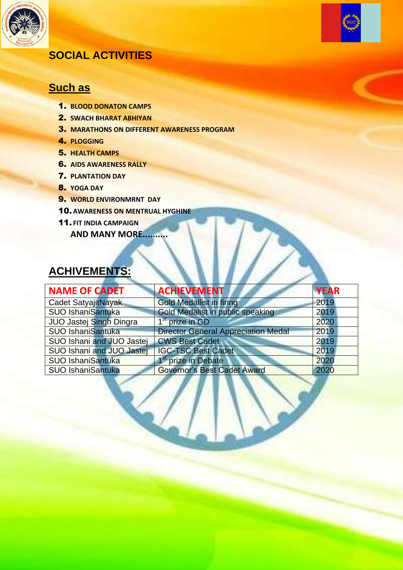

### **SOCIAL ACTIVITIES**



### **Such as**

- 1. **BLOOD DONATON CAMPS**
- 2. **SWACH BHARAT ABHIYAN**
- 3. **MARATHONS ON DIFFERENT AWARENESS PROGRAM**
- 4. **PLOGGING**
- 5. **HEALTH CAMPS**
- 6. **AIDS AWARENESS RALLY**
- 7. **PLANTATION DAY**
- 8. **YOGA DAY**
- 9. **WORLD ENVIRONMRNT DAY**
- 10. **AWARENESS ON MENTRUAL HYGHINE**
- 11. **FIT INDIA CAMPAIGN AND MANY MORE..........**

## **ACHIVEMENTS:**

| <b>NAME OF CADET</b>           | <b>ACHIEVEMENT</b>                         | <b>YEAR</b> |
|--------------------------------|--------------------------------------------|-------------|
| <b>Cadet SatyajitNayak</b>     | <b>Gold Medallist in firing</b>            | 2019        |
| <b>SUO IshaniSantuka</b>       | Gold Medalist in public speaking           | 2019        |
| <b>JUO Jastej Singh Dingra</b> | 1 <sup>st</sup> prize in GD                | 2020        |
| <b>SUO IshaniSantuka</b>       | <b>Director General Appreciation Medal</b> | 2019        |
| SUO Ishani and JUO Jastej      | <b>CWS Best Cadet</b>                      | 2019        |
| SUO Ishani and JUO Jastei      | <b>IGC-TSC Best Cadet</b>                  | 2019        |
| <b>SUO IshaniSantuka</b>       | 1 <sup>st</sup> prize in Debate            | 2020        |
| <b>SUO IshaniSantuka</b>       | <b>Governor's Best Cadet Award</b>         | 2020        |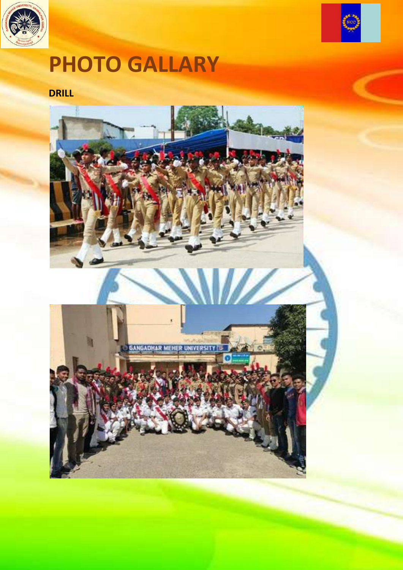



### **DRILL**



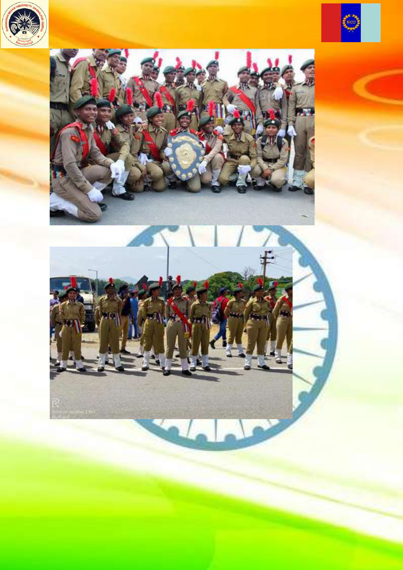



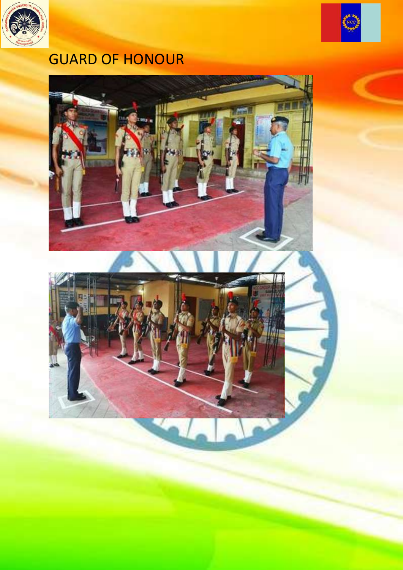



# GUARD OF HONOUR



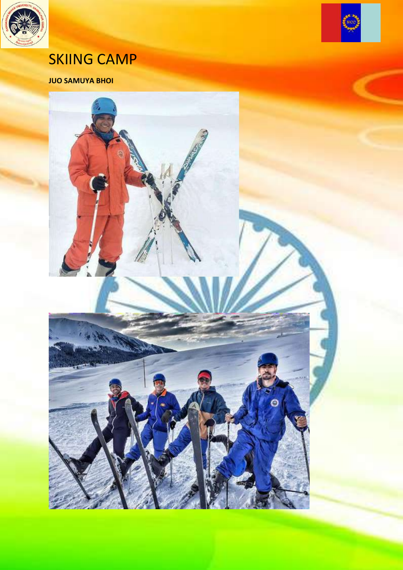

# **SKIING CAMP**

### **JUO SAMUYA BHOI**



 $\bullet$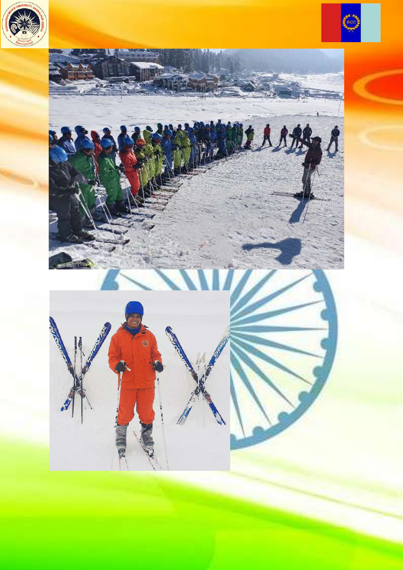



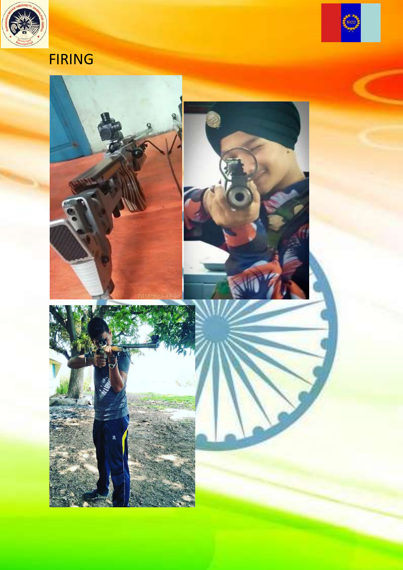



# FIRING

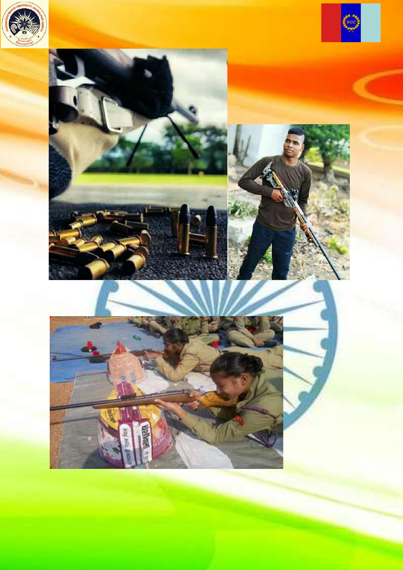



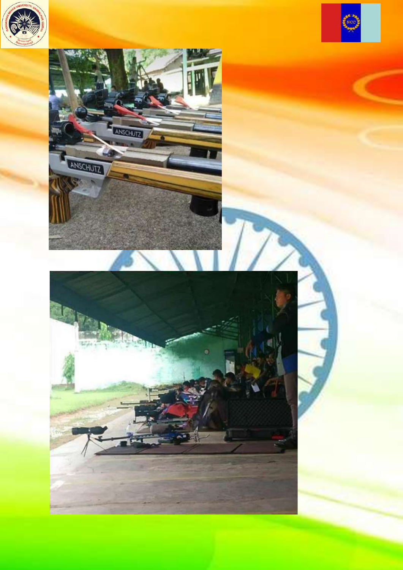





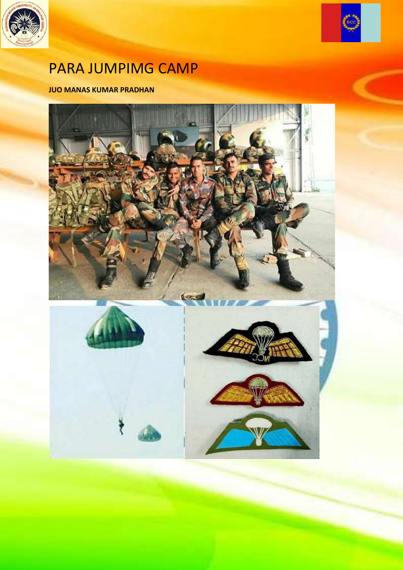



# PARA JUMPIMG CAMP

#### **JUO MANAS KUMAR PRADHAN**

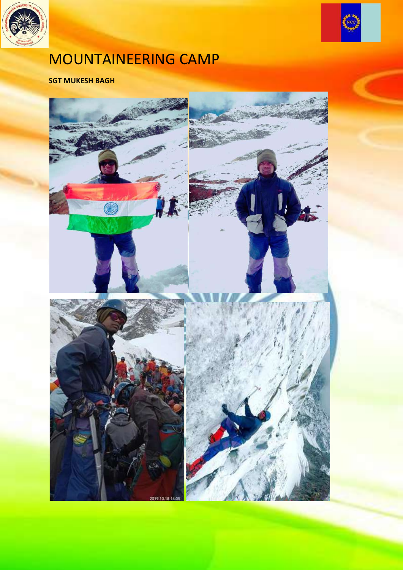



# MOUNTAINEERING CAMP

### **SGT MUKESH BAGH**

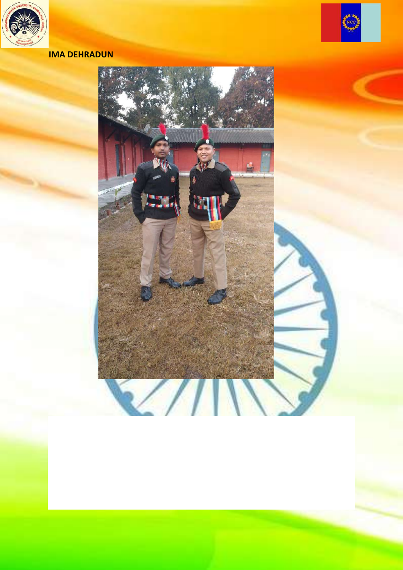